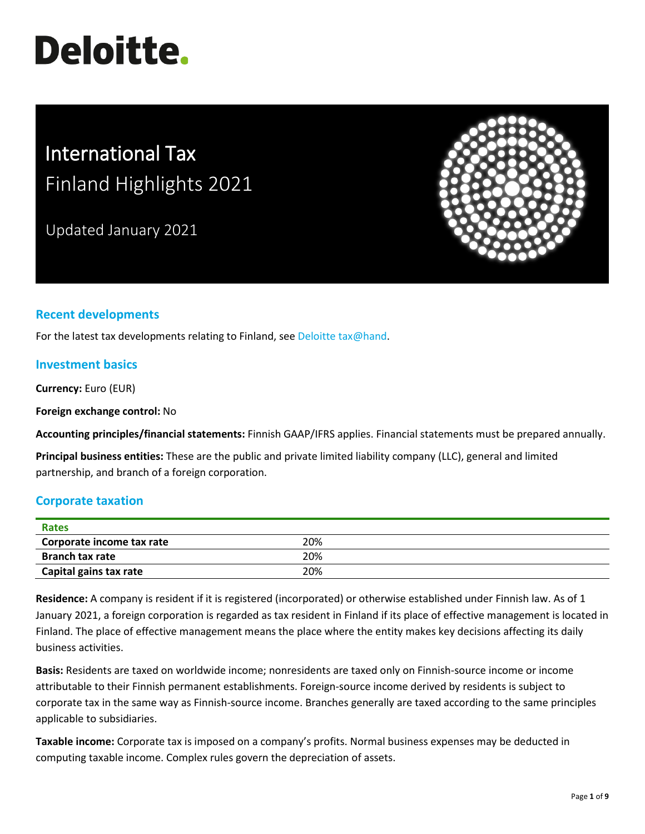# **Deloitte.**

# International Tax Finland Highlights 2021

Updated January 2021



# **Recent developments**

For the latest tax developments relating to Finland, see [Deloitte tax@hand.](https://www.taxathand.com/world-news/Finland)

# **Investment basics**

**Currency:** Euro (EUR)

**Foreign exchange control:** No

**Accounting principles/financial statements:** Finnish GAAP/IFRS applies. Financial statements must be prepared annually.

**Principal business entities:** These are the public and private limited liability company (LLC), general and limited partnership, and branch of a foreign corporation.

# **Corporate taxation**

| <b>Rates</b>              |     |  |
|---------------------------|-----|--|
| Corporate income tax rate | 20% |  |
| <b>Branch tax rate</b>    | 20% |  |
| Capital gains tax rate    | 20% |  |

**Residence:** A company is resident if it is registered (incorporated) or otherwise established under Finnish law. As of 1 January 2021, a foreign corporation is regarded as tax resident in Finland if its place of effective management is located in Finland. The place of effective management means the place where the entity makes key decisions affecting its daily business activities.

**Basis:** Residents are taxed on worldwide income; nonresidents are taxed only on Finnish-source income or income attributable to their Finnish permanent establishments. Foreign-source income derived by residents is subject to corporate tax in the same way as Finnish-source income. Branches generally are taxed according to the same principles applicable to subsidiaries.

**Taxable income:** Corporate tax is imposed on a company's profits. Normal business expenses may be deducted in computing taxable income. Complex rules govern the depreciation of assets.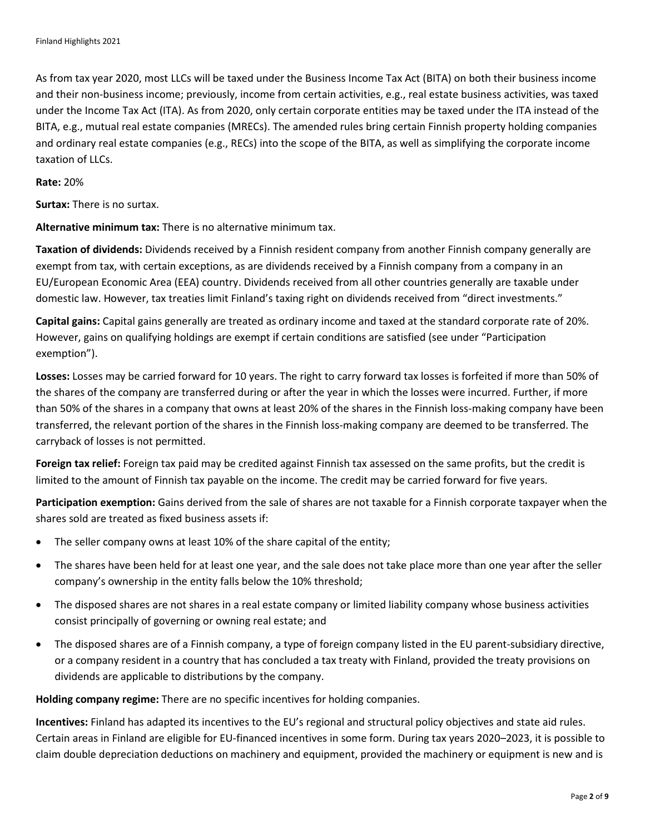As from tax year 2020, most LLCs will be taxed under the Business Income Tax Act (BITA) on both their business income and their non-business income; previously, income from certain activities, e.g., real estate business activities, was taxed under the Income Tax Act (ITA). As from 2020, only certain corporate entities may be taxed under the ITA instead of the BITA, e.g., mutual real estate companies (MRECs). The amended rules bring certain Finnish property holding companies and ordinary real estate companies (e.g., RECs) into the scope of the BITA, as well as simplifying the corporate income taxation of LLCs.

#### **Rate:** 20%

**Surtax:** There is no surtax.

**Alternative minimum tax:** There is no alternative minimum tax.

**Taxation of dividends:** Dividends received by a Finnish resident company from another Finnish company generally are exempt from tax, with certain exceptions, as are dividends received by a Finnish company from a company in an EU/European Economic Area (EEA) country. Dividends received from all other countries generally are taxable under domestic law. However, tax treaties limit Finland's taxing right on dividends received from "direct investments."

**Capital gains:** Capital gains generally are treated as ordinary income and taxed at the standard corporate rate of 20%. However, gains on qualifying holdings are exempt if certain conditions are satisfied (see under "Participation exemption").

**Losses:** Losses may be carried forward for 10 years. The right to carry forward tax losses is forfeited if more than 50% of the shares of the company are transferred during or after the year in which the losses were incurred. Further, if more than 50% of the shares in a company that owns at least 20% of the shares in the Finnish loss-making company have been transferred, the relevant portion of the shares in the Finnish loss-making company are deemed to be transferred. The carryback of losses is not permitted.

**Foreign tax relief:** Foreign tax paid may be credited against Finnish tax assessed on the same profits, but the credit is limited to the amount of Finnish tax payable on the income. The credit may be carried forward for five years.

**Participation exemption:** Gains derived from the sale of shares are not taxable for a Finnish corporate taxpayer when the shares sold are treated as fixed business assets if:

- The seller company owns at least 10% of the share capital of the entity;
- The shares have been held for at least one year, and the sale does not take place more than one year after the seller company's ownership in the entity falls below the 10% threshold;
- The disposed shares are not shares in a real estate company or limited liability company whose business activities consist principally of governing or owning real estate; and
- The disposed shares are of a Finnish company, a type of foreign company listed in the EU parent-subsidiary directive, or a company resident in a country that has concluded a tax treaty with Finland, provided the treaty provisions on dividends are applicable to distributions by the company.

**Holding company regime:** There are no specific incentives for holding companies.

**Incentives:** Finland has adapted its incentives to the EU's regional and structural policy objectives and state aid rules. Certain areas in Finland are eligible for EU-financed incentives in some form. During tax years 2020–2023, it is possible to claim double depreciation deductions on machinery and equipment, provided the machinery or equipment is new and is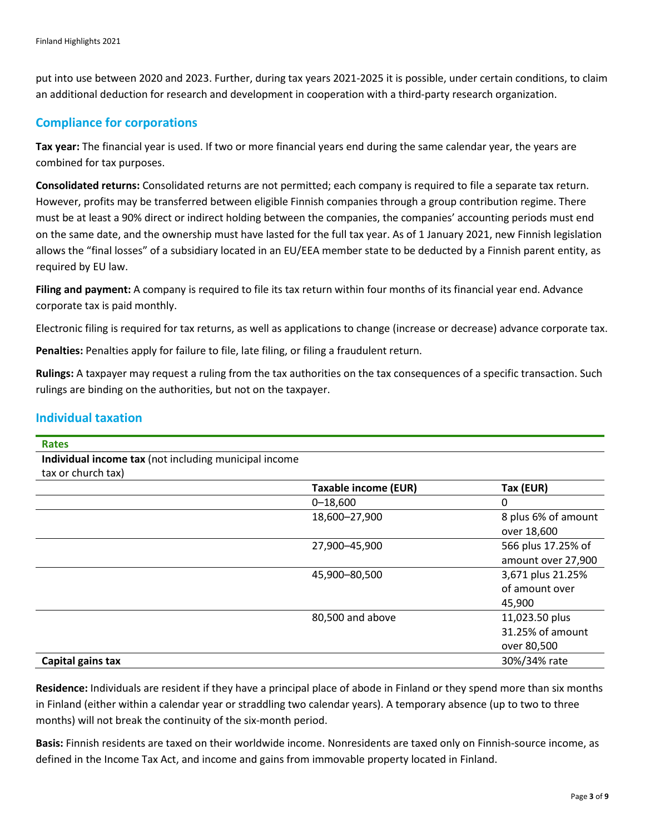put into use between 2020 and 2023. Further, during tax years 2021-2025 it is possible, under certain conditions, to claim an additional deduction for research and development in cooperation with a third-party research organization.

# **Compliance for corporations**

**Tax year:** The financial year is used. If two or more financial years end during the same calendar year, the years are combined for tax purposes.

**Consolidated returns:** Consolidated returns are not permitted; each company is required to file a separate tax return. However, profits may be transferred between eligible Finnish companies through a group contribution regime. There must be at least a 90% direct or indirect holding between the companies, the companies' accounting periods must end on the same date, and the ownership must have lasted for the full tax year. As of 1 January 2021, new Finnish legislation allows the "final losses" of a subsidiary located in an EU/EEA member state to be deducted by a Finnish parent entity, as required by EU law.

**Filing and payment:** A company is required to file its tax return within four months of its financial year end. Advance corporate tax is paid monthly.

Electronic filing is required for tax returns, as well as applications to change (increase or decrease) advance corporate tax.

**Penalties:** Penalties apply for failure to file, late filing, or filing a fraudulent return.

**Rulings:** A taxpayer may request a ruling from the tax authorities on the tax consequences of a specific transaction. Such rulings are binding on the authorities, but not on the taxpayer.

### **Individual taxation**

| <b>Rates</b>                                          |                             |                     |
|-------------------------------------------------------|-----------------------------|---------------------|
| Individual income tax (not including municipal income |                             |                     |
| tax or church tax)                                    |                             |                     |
|                                                       | <b>Taxable income (EUR)</b> | Tax (EUR)           |
|                                                       | $0 - 18,600$                | 0                   |
|                                                       | 18,600-27,900               | 8 plus 6% of amount |
|                                                       |                             | over 18,600         |
|                                                       | 27,900-45,900               | 566 plus 17.25% of  |
|                                                       |                             | amount over 27,900  |
|                                                       | 45,900-80,500               | 3,671 plus 21.25%   |
|                                                       |                             | of amount over      |
|                                                       |                             | 45,900              |
|                                                       | 80,500 and above            | 11,023.50 plus      |
|                                                       |                             | 31.25% of amount    |
|                                                       |                             | over 80,500         |
| Capital gains tax                                     |                             | 30%/34% rate        |

**Residence:** Individuals are resident if they have a principal place of abode in Finland or they spend more than six months in Finland (either within a calendar year or straddling two calendar years). A temporary absence (up to two to three months) will not break the continuity of the six-month period.

**Basis:** Finnish residents are taxed on their worldwide income. Nonresidents are taxed only on Finnish-source income, as defined in the Income Tax Act, and income and gains from immovable property located in Finland.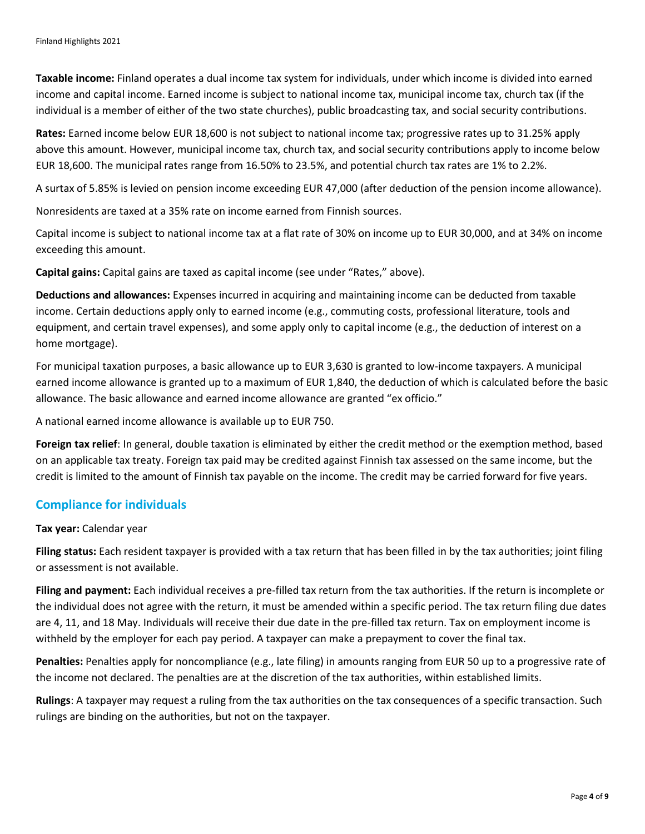**Taxable income:** Finland operates a dual income tax system for individuals, under which income is divided into earned income and capital income. Earned income is subject to national income tax, municipal income tax, church tax (if the individual is a member of either of the two state churches), public broadcasting tax, and social security contributions.

**Rates:** Earned income below EUR 18,600 is not subject to national income tax; progressive rates up to 31.25% apply above this amount. However, municipal income tax, church tax, and social security contributions apply to income below EUR 18,600. The municipal rates range from 16.50% to 23.5%, and potential church tax rates are 1% to 2.2%.

A surtax of 5.85% is levied on pension income exceeding EUR 47,000 (after deduction of the pension income allowance).

Nonresidents are taxed at a 35% rate on income earned from Finnish sources.

Capital income is subject to national income tax at a flat rate of 30% on income up to EUR 30,000, and at 34% on income exceeding this amount.

**Capital gains:** Capital gains are taxed as capital income (see under "Rates," above).

**Deductions and allowances:** Expenses incurred in acquiring and maintaining income can be deducted from taxable income. Certain deductions apply only to earned income (e.g., commuting costs, professional literature, tools and equipment, and certain travel expenses), and some apply only to capital income (e.g., the deduction of interest on a home mortgage).

For municipal taxation purposes, a basic allowance up to EUR 3,630 is granted to low-income taxpayers. A municipal earned income allowance is granted up to a maximum of EUR 1,840, the deduction of which is calculated before the basic allowance. The basic allowance and earned income allowance are granted "ex officio."

A national earned income allowance is available up to EUR 750.

**Foreign tax relief**: In general, double taxation is eliminated by either the credit method or the exemption method, based on an applicable tax treaty. Foreign tax paid may be credited against Finnish tax assessed on the same income, but the credit is limited to the amount of Finnish tax payable on the income. The credit may be carried forward for five years.

#### **Compliance for individuals**

#### **Tax year:** Calendar year

**Filing status:** Each resident taxpayer is provided with a tax return that has been filled in by the tax authorities; joint filing or assessment is not available.

**Filing and payment:** Each individual receives a pre-filled tax return from the tax authorities. If the return is incomplete or the individual does not agree with the return, it must be amended within a specific period. The tax return filing due dates are 4, 11, and 18 May. Individuals will receive their due date in the pre-filled tax return. Tax on employment income is withheld by the employer for each pay period. A taxpayer can make a prepayment to cover the final tax.

**Penalties:** Penalties apply for noncompliance (e.g., late filing) in amounts ranging from EUR 50 up to a progressive rate of the income not declared. The penalties are at the discretion of the tax authorities, within established limits.

**Rulings**: A taxpayer may request a ruling from the tax authorities on the tax consequences of a specific transaction. Such rulings are binding on the authorities, but not on the taxpayer.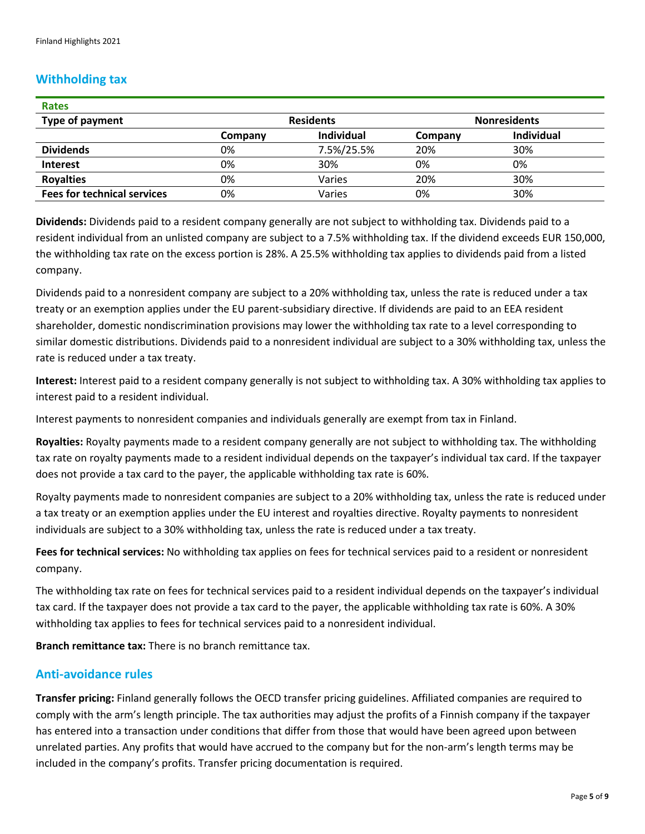# **Withholding tax**

| <b>Rates</b>                       |                  |                   |                     |                   |
|------------------------------------|------------------|-------------------|---------------------|-------------------|
| Type of payment                    | <b>Residents</b> |                   | <b>Nonresidents</b> |                   |
|                                    | Company          | <b>Individual</b> | Company             | <b>Individual</b> |
| <b>Dividends</b>                   | 0%               | 7.5%/25.5%        | 20%                 | 30%               |
| <b>Interest</b>                    | 0%               | 30%               | 0%                  | 0%                |
| <b>Royalties</b>                   | 0%               | Varies            | 20%                 | 30%               |
| <b>Fees for technical services</b> | 0%               | Varies            | 0%                  | 30%               |

**Dividends:** Dividends paid to a resident company generally are not subject to withholding tax. Dividends paid to a resident individual from an unlisted company are subject to a 7.5% withholding tax. If the dividend exceeds EUR 150,000, the withholding tax rate on the excess portion is 28%. A 25.5% withholding tax applies to dividends paid from a listed company.

Dividends paid to a nonresident company are subject to a 20% withholding tax, unless the rate is reduced under a tax treaty or an exemption applies under the EU parent-subsidiary directive. If dividends are paid to an EEA resident shareholder, domestic nondiscrimination provisions may lower the withholding tax rate to a level corresponding to similar domestic distributions. Dividends paid to a nonresident individual are subject to a 30% withholding tax, unless the rate is reduced under a tax treaty.

**Interest:** Interest paid to a resident company generally is not subject to withholding tax. A 30% withholding tax applies to interest paid to a resident individual.

Interest payments to nonresident companies and individuals generally are exempt from tax in Finland.

**Royalties:** Royalty payments made to a resident company generally are not subject to withholding tax. The withholding tax rate on royalty payments made to a resident individual depends on the taxpayer's individual tax card. If the taxpayer does not provide a tax card to the payer, the applicable withholding tax rate is 60%.

Royalty payments made to nonresident companies are subject to a 20% withholding tax, unless the rate is reduced under a tax treaty or an exemption applies under the EU interest and royalties directive. Royalty payments to nonresident individuals are subject to a 30% withholding tax, unless the rate is reduced under a tax treaty.

**Fees for technical services:** No withholding tax applies on fees for technical services paid to a resident or nonresident company.

The withholding tax rate on fees for technical services paid to a resident individual depends on the taxpayer's individual tax card. If the taxpayer does not provide a tax card to the payer, the applicable withholding tax rate is 60%. A 30% withholding tax applies to fees for technical services paid to a nonresident individual.

**Branch remittance tax:** There is no branch remittance tax.

# **Anti-avoidance rules**

**Transfer pricing:** Finland generally follows the OECD transfer pricing guidelines. Affiliated companies are required to comply with the arm's length principle. The tax authorities may adjust the profits of a Finnish company if the taxpayer has entered into a transaction under conditions that differ from those that would have been agreed upon between unrelated parties. Any profits that would have accrued to the company but for the non-arm's length terms may be included in the company's profits. Transfer pricing documentation is required.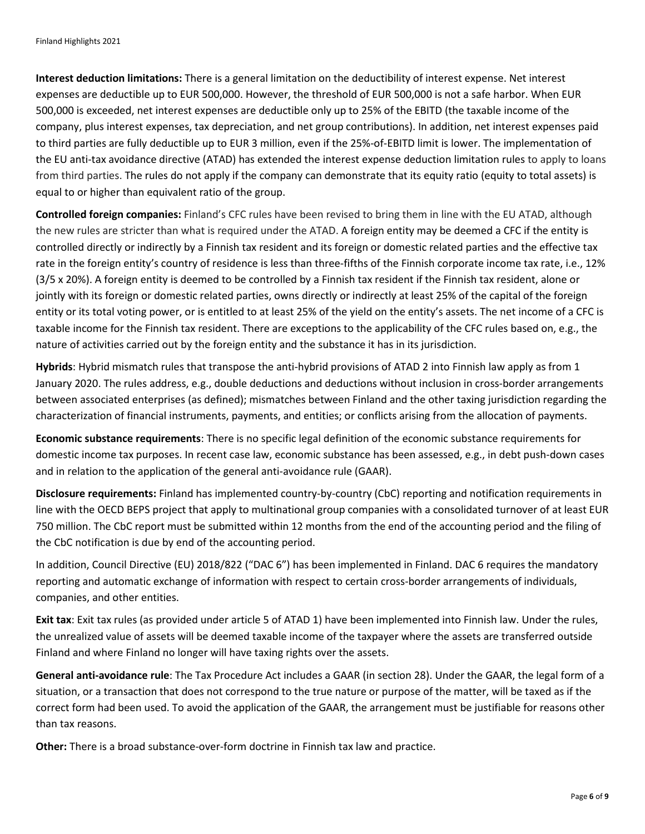**Interest deduction limitations:** There is a general limitation on the deductibility of interest expense. Net interest expenses are deductible up to EUR 500,000. However, the threshold of EUR 500,000 is not a safe harbor. When EUR 500,000 is exceeded, net interest expenses are deductible only up to 25% of the EBITD (the taxable income of the company, plus interest expenses, tax depreciation, and net group contributions). In addition, net interest expenses paid to third parties are fully deductible up to EUR 3 million, even if the 25%-of-EBITD limit is lower. The implementation of the EU anti-tax avoidance directive (ATAD) has extended the interest expense deduction limitation rules to apply to loans from third parties. The rules do not apply if the company can demonstrate that its equity ratio (equity to total assets) is equal to or higher than equivalent ratio of the group.

**Controlled foreign companies:** Finland's CFC rules have been revised to bring them in line with the EU ATAD, although the new rules are stricter than what is required under the ATAD. A foreign entity may be deemed a CFC if the entity is controlled directly or indirectly by a Finnish tax resident and its foreign or domestic related parties and the effective tax rate in the foreign entity's country of residence is less than three-fifths of the Finnish corporate income tax rate, i.e., 12% (3/5 x 20%). A foreign entity is deemed to be controlled by a Finnish tax resident if the Finnish tax resident, alone or jointly with its foreign or domestic related parties, owns directly or indirectly at least 25% of the capital of the foreign entity or its total voting power, or is entitled to at least 25% of the yield on the entity's assets. The net income of a CFC is taxable income for the Finnish tax resident. There are exceptions to the applicability of the CFC rules based on, e.g., the nature of activities carried out by the foreign entity and the substance it has in its jurisdiction.

**Hybrids**: Hybrid mismatch rules that transpose the anti-hybrid provisions of ATAD 2 into Finnish law apply as from 1 January 2020. The rules address, e.g., double deductions and deductions without inclusion in cross-border arrangements between associated enterprises (as defined); mismatches between Finland and the other taxing jurisdiction regarding the characterization of financial instruments, payments, and entities; or conflicts arising from the allocation of payments.

**Economic substance requirements**: There is no specific legal definition of the economic substance requirements for domestic income tax purposes. In recent case law, economic substance has been assessed, e.g., in debt push-down cases and in relation to the application of the general anti-avoidance rule (GAAR).

**Disclosure requirements:** Finland has implemented country-by-country (CbC) reporting and notification requirements in line with the OECD BEPS project that apply to multinational group companies with a consolidated turnover of at least EUR 750 million. The CbC report must be submitted within 12 months from the end of the accounting period and the filing of the CbC notification is due by end of the accounting period.

In addition, Council Directive (EU) 2018/822 ("DAC 6") has been implemented in Finland. DAC 6 requires the mandatory reporting and automatic exchange of information with respect to certain cross-border arrangements of individuals, companies, and other entities.

**Exit tax**: Exit tax rules (as provided under article 5 of ATAD 1) have been implemented into Finnish law. Under the rules, the unrealized value of assets will be deemed taxable income of the taxpayer where the assets are transferred outside Finland and where Finland no longer will have taxing rights over the assets.

**General anti-avoidance rule**: The Tax Procedure Act includes a GAAR (in section 28). Under the GAAR, the legal form of a situation, or a transaction that does not correspond to the true nature or purpose of the matter, will be taxed as if the correct form had been used. To avoid the application of the GAAR, the arrangement must be justifiable for reasons other than tax reasons.

**Other:** There is a broad substance-over-form doctrine in Finnish tax law and practice.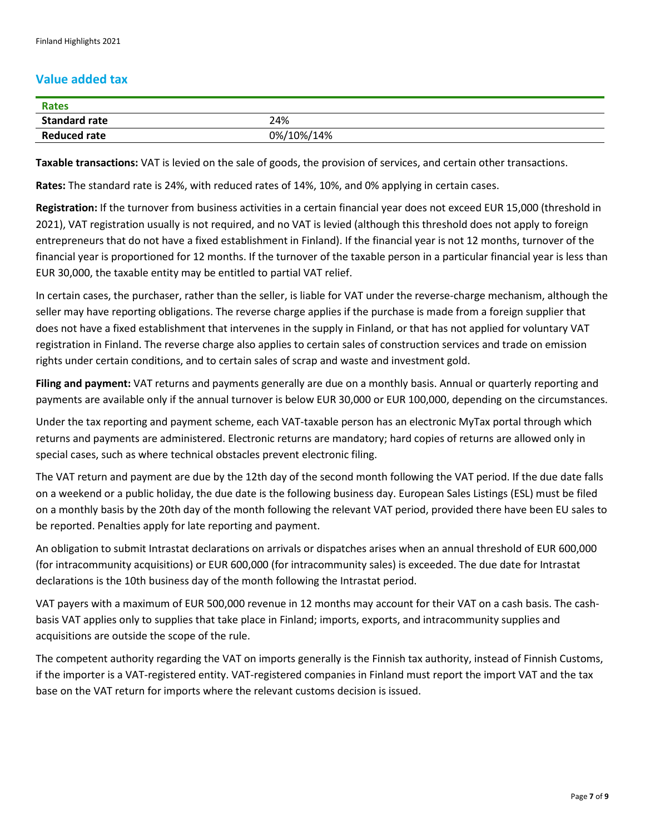# **Value added tax**

| <b>Rates</b>         |            |
|----------------------|------------|
| <b>Standard rate</b> | 24%        |
| <b>Reduced rate</b>  | 0%/10%/14% |

**Taxable transactions:** VAT is levied on the sale of goods, the provision of services, and certain other transactions.

**Rates:** The standard rate is 24%, with reduced rates of 14%, 10%, and 0% applying in certain cases.

**Registration:** If the turnover from business activities in a certain financial year does not exceed EUR 15,000 (threshold in 2021), VAT registration usually is not required, and no VAT is levied (although this threshold does not apply to foreign entrepreneurs that do not have a fixed establishment in Finland). If the financial year is not 12 months, turnover of the financial year is proportioned for 12 months. If the turnover of the taxable person in a particular financial year is less than EUR 30,000, the taxable entity may be entitled to partial VAT relief.

In certain cases, the purchaser, rather than the seller, is liable for VAT under the reverse-charge mechanism, although the seller may have reporting obligations. The reverse charge applies if the purchase is made from a foreign supplier that does not have a fixed establishment that intervenes in the supply in Finland, or that has not applied for voluntary VAT registration in Finland. The reverse charge also applies to certain sales of construction services and trade on emission rights under certain conditions, and to certain sales of scrap and waste and investment gold.

**Filing and payment:** VAT returns and payments generally are due on a monthly basis. Annual or quarterly reporting and payments are available only if the annual turnover is below EUR 30,000 or EUR 100,000, depending on the circumstances.

Under the tax reporting and payment scheme, each VAT-taxable person has an electronic MyTax portal through which returns and payments are administered. Electronic returns are mandatory; hard copies of returns are allowed only in special cases, such as where technical obstacles prevent electronic filing.

The VAT return and payment are due by the 12th day of the second month following the VAT period. If the due date falls on a weekend or a public holiday, the due date is the following business day. European Sales Listings (ESL) must be filed on a monthly basis by the 20th day of the month following the relevant VAT period, provided there have been EU sales to be reported. Penalties apply for late reporting and payment.

An obligation to submit Intrastat declarations on arrivals or dispatches arises when an annual threshold of EUR 600,000 (for intracommunity acquisitions) or EUR 600,000 (for intracommunity sales) is exceeded. The due date for Intrastat declarations is the 10th business day of the month following the Intrastat period.

VAT payers with a maximum of EUR 500,000 revenue in 12 months may account for their VAT on a cash basis. The cashbasis VAT applies only to supplies that take place in Finland; imports, exports, and intracommunity supplies and acquisitions are outside the scope of the rule.

The competent authority regarding the VAT on imports generally is the Finnish tax authority, instead of Finnish Customs, if the importer is a VAT-registered entity. VAT-registered companies in Finland must report the import VAT and the tax base on the VAT return for imports where the relevant customs decision is issued.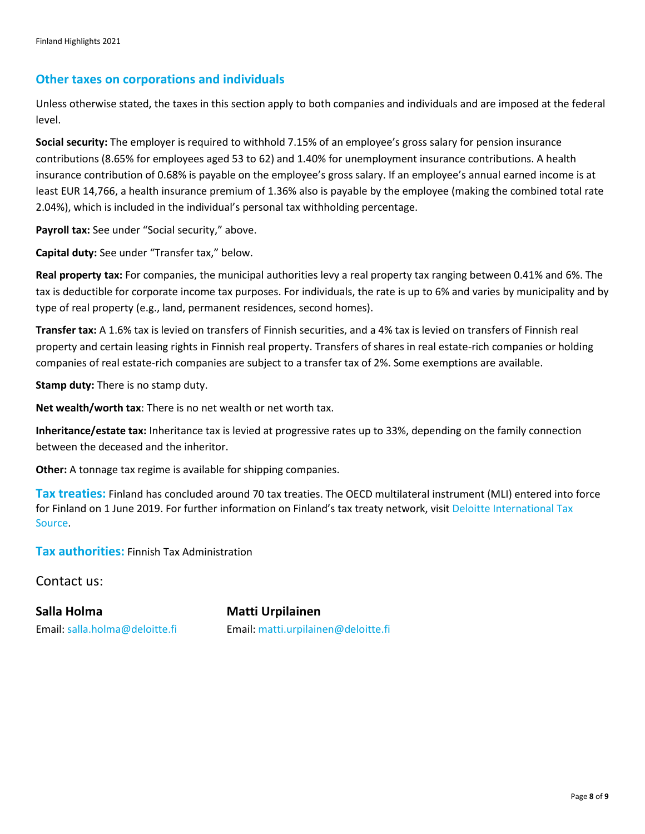#### **Other taxes on corporations and individuals**

Unless otherwise stated, the taxes in this section apply to both companies and individuals and are imposed at the federal level.

**Social security:** The employer is required to withhold 7.15% of an employee's gross salary for pension insurance contributions (8.65% for employees aged 53 to 62) and 1.40% for unemployment insurance contributions. A health insurance contribution of 0.68% is payable on the employee's gross salary. If an employee's annual earned income is at least EUR 14,766, a health insurance premium of 1.36% also is payable by the employee (making the combined total rate 2.04%), which is included in the individual's personal tax withholding percentage.

Payroll tax: See under "Social security," above.

**Capital duty:** See under "Transfer tax," below.

**Real property tax:** For companies, the municipal authorities levy a real property tax ranging between 0.41% and 6%. The tax is deductible for corporate income tax purposes. For individuals, the rate is up to 6% and varies by municipality and by type of real property (e.g., land, permanent residences, second homes).

**Transfer tax:** A 1.6% tax is levied on transfers of Finnish securities, and a 4% tax is levied on transfers of Finnish real property and certain leasing rights in Finnish real property. Transfers of shares in real estate-rich companies or holding companies of real estate-rich companies are subject to a transfer tax of 2%. Some exemptions are available.

**Stamp duty:** There is no stamp duty.

**Net wealth/worth tax**: There is no net wealth or net worth tax.

**Inheritance/estate tax:** Inheritance tax is levied at progressive rates up to 33%, depending on the family connection between the deceased and the inheritor.

**Other:** A tonnage tax regime is available for shipping companies.

**Tax treaties:** Finland has concluded around 70 tax treaties. The OECD multilateral instrument (MLI) entered into force for Finland on 1 June 2019. For further information on Finland's tax treaty network, visit Deloitte International Tax [Source.](https://www.dits.deloitte.com/#Jurisdiction/57)

**Tax authorities:** Finnish Tax Administration

Contact us:

**Salla Holma Matti Urpilainen**

Email: [salla.holma@deloitte.fi](mailto:salla.holma@deloitte.fi) Email: [matti.urpilainen@deloitte.fi](mailto:matti.urpilainen@deloitte.fi)